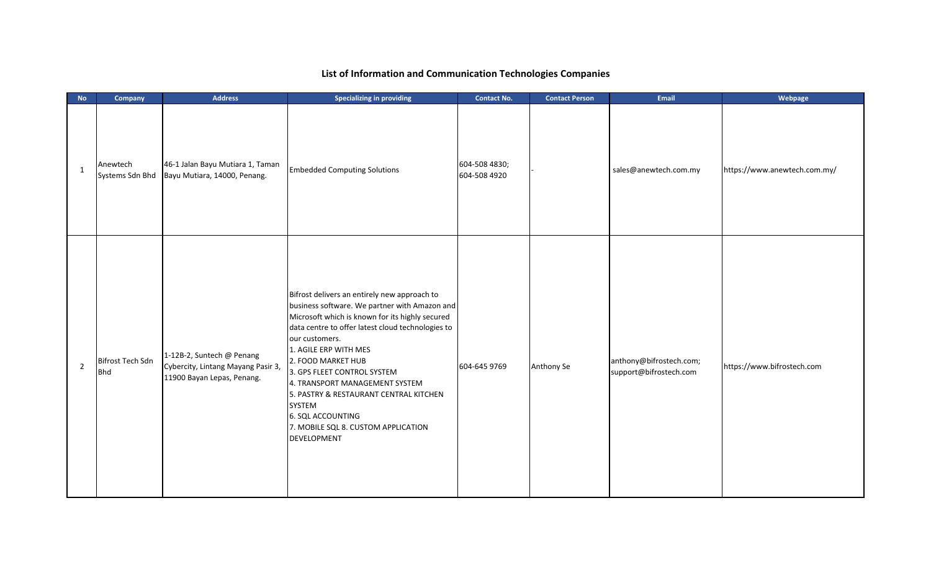## **List of Information and Communication Technologies Companies**

| $\mathsf{No}$  | Company                        | <b>Address</b>                                                                                | <b>Specializing in providing</b>                                                                                                                                                                                                                                                                                                                                                                                                                                       | <b>Contact No.</b>            | <b>Contact Person</b> | Email                                             | Webpage                      |
|----------------|--------------------------------|-----------------------------------------------------------------------------------------------|------------------------------------------------------------------------------------------------------------------------------------------------------------------------------------------------------------------------------------------------------------------------------------------------------------------------------------------------------------------------------------------------------------------------------------------------------------------------|-------------------------------|-----------------------|---------------------------------------------------|------------------------------|
| $\mathbf{1}$   | Anewtech<br>Systems Sdn Bhd    | 46-1 Jalan Bayu Mutiara 1, Taman<br>Bayu Mutiara, 14000, Penang.                              | <b>Embedded Computing Solutions</b>                                                                                                                                                                                                                                                                                                                                                                                                                                    | 604-508 4830;<br>604-508 4920 |                       | sales@anewtech.com.my                             | https://www.anewtech.com.my/ |
| $\overline{2}$ | Bifrost Tech Sdn<br><b>Bhd</b> | 1-12B-2, Suntech @ Penang<br>Cybercity, Lintang Mayang Pasir 3,<br>11900 Bayan Lepas, Penang. | Bifrost delivers an entirely new approach to<br>business software. We partner with Amazon and<br>Microsoft which is known for its highly secured<br>data centre to offer latest cloud technologies to<br>our customers.<br>1. AGILE ERP WITH MES<br>2. FOOD MARKET HUB<br>3. GPS FLEET CONTROL SYSTEM<br>4. TRANSPORT MANAGEMENT SYSTEM<br>5. PASTRY & RESTAURANT CENTRAL KITCHEN<br>SYSTEM<br>6. SQL ACCOUNTING<br>7. MOBILE SQL 8. CUSTOM APPLICATION<br>DEVELOPMENT | 604-645 9769                  | Anthony Se            | anthony@bifrostech.com;<br>support@bifrostech.com | https://www.bifrostech.com   |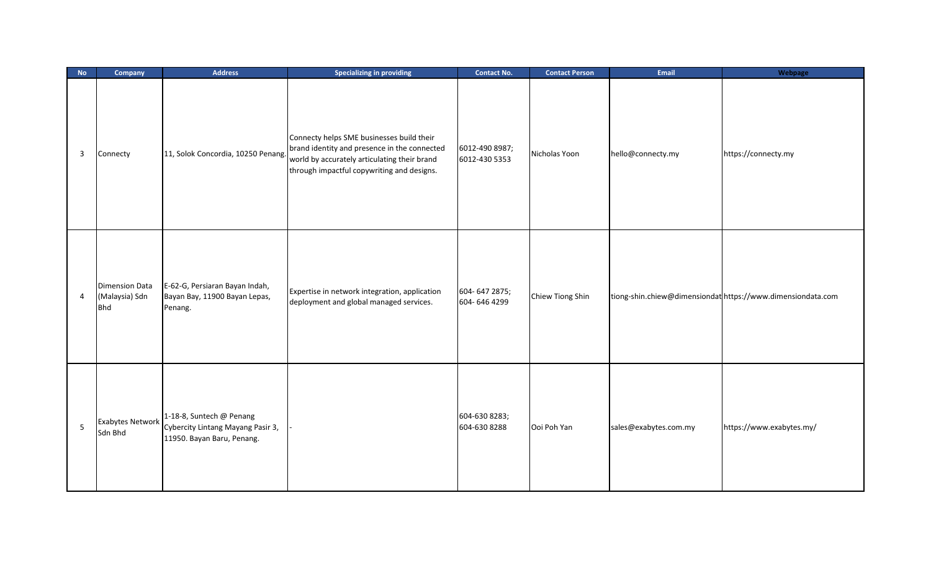| <b>No</b> | Company                                               | <b>Address</b>                                                                              | <b>Specializing in providing</b>                                                                                                                                                        | <b>Contact No.</b>              | <b>Contact Person</b> | <b>Email</b>          | Webpage                                                    |
|-----------|-------------------------------------------------------|---------------------------------------------------------------------------------------------|-----------------------------------------------------------------------------------------------------------------------------------------------------------------------------------------|---------------------------------|-----------------------|-----------------------|------------------------------------------------------------|
| 3         | Connecty                                              | 11, Solok Concordia, 10250 Penang.                                                          | Connecty helps SME businesses build their<br>brand identity and presence in the connected<br>world by accurately articulating their brand<br>through impactful copywriting and designs. | 6012-490 8987;<br>6012-430 5353 | Nicholas Yoon         | hello@connecty.my     | https://connecty.my                                        |
| 4         | <b>Dimension Data</b><br>(Malaysia) Sdn<br><b>Bhd</b> | E-62-G, Persiaran Bayan Indah,<br>Bayan Bay, 11900 Bayan Lepas,<br>Penang.                  | Expertise in network integration, application<br>deployment and global managed services.                                                                                                | 604-647 2875;<br>604-646 4299   | Chiew Tiong Shin      |                       | tiong-shin.chiew@dimensiondathttps://www.dimensiondata.com |
| $\sf 5$   | <b>Exabytes Network</b><br>Sdn Bhd                    | 1-18-8, Suntech @ Penang<br>Cybercity Lintang Mayang Pasir 3,<br>11950. Bayan Baru, Penang. |                                                                                                                                                                                         | 604-630 8283;<br>604-630 8288   | Ooi Poh Yan           | sales@exabytes.com.my | https://www.exabytes.my/                                   |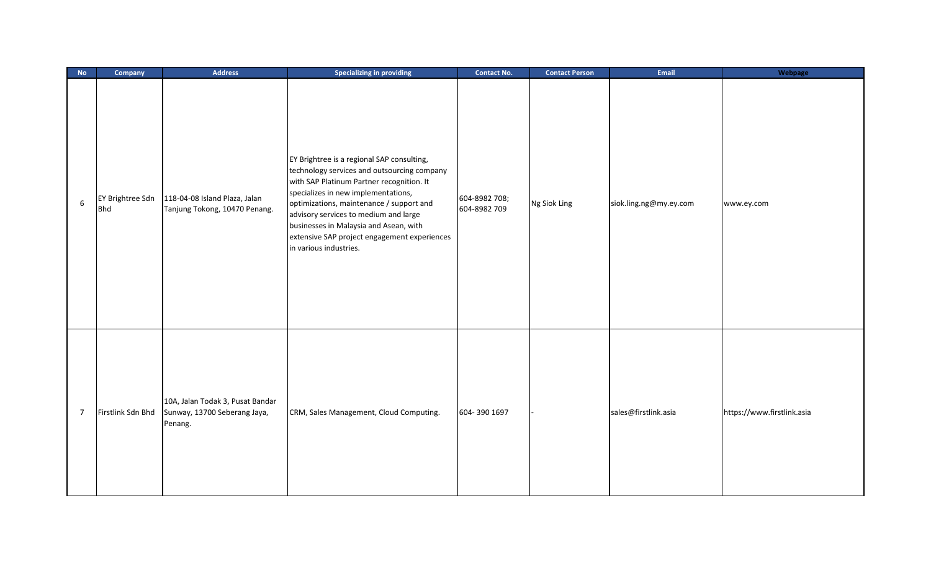| $\mathsf{No}$  | Company                        | <b>Address</b>                                                              | <b>Specializing in providing</b>                                                                                                                                                                                                                                                                                                                                                       | <b>Contact No.</b>            | <b>Contact Person</b> | Email                  | Webpage                    |
|----------------|--------------------------------|-----------------------------------------------------------------------------|----------------------------------------------------------------------------------------------------------------------------------------------------------------------------------------------------------------------------------------------------------------------------------------------------------------------------------------------------------------------------------------|-------------------------------|-----------------------|------------------------|----------------------------|
| 6              | EY Brightree Sdn<br><b>Bhd</b> | 118-04-08 Island Plaza, Jalan<br>Tanjung Tokong, 10470 Penang.              | EY Brightree is a regional SAP consulting,<br>technology services and outsourcing company<br>with SAP Platinum Partner recognition. It<br>specializes in new implementations,<br>optimizations, maintenance / support and<br>advisory services to medium and large<br>businesses in Malaysia and Asean, with<br>extensive SAP project engagement experiences<br>in various industries. | 604-8982 708;<br>604-8982 709 | Ng Siok Ling          | siok.ling.ng@my.ey.com | www.ey.com                 |
| $\overline{7}$ | Firstlink Sdn Bhd              | 10A, Jalan Todak 3, Pusat Bandar<br>Sunway, 13700 Seberang Jaya,<br>Penang. | CRM, Sales Management, Cloud Computing.                                                                                                                                                                                                                                                                                                                                                | 604-390 1697                  |                       | sales@firstlink.asia   | https://www.firstlink.asia |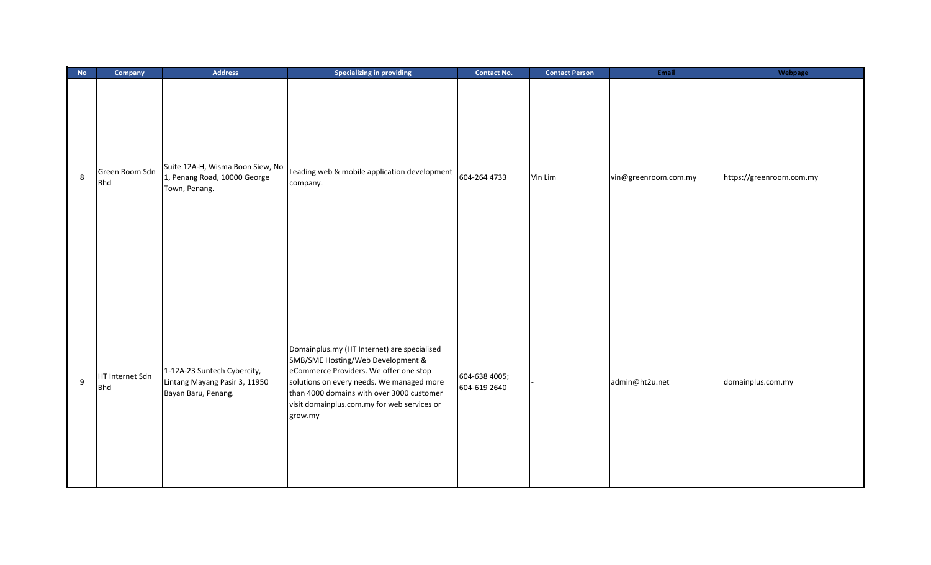| No               | Company                       | <b>Address</b>                                                                      | <b>Specializing in providing</b>                                                                                                                                                                                                                                               | <b>Contact No.</b>            | <b>Contact Person</b> | Email                | Webpage                  |
|------------------|-------------------------------|-------------------------------------------------------------------------------------|--------------------------------------------------------------------------------------------------------------------------------------------------------------------------------------------------------------------------------------------------------------------------------|-------------------------------|-----------------------|----------------------|--------------------------|
| $\,$ 8 $\,$      | Green Room Sdn<br><b>Bhd</b>  | Suite 12A-H, Wisma Boon Siew, No<br>1, Penang Road, 10000 George<br>Town, Penang.   | Leading web & mobile application development<br>company.                                                                                                                                                                                                                       | 604-264 4733                  | Vin Lim               | vin@greenroom.com.my | https://greenroom.com.my |
| $\boldsymbol{9}$ | HT Internet Sdn<br><b>Bhd</b> | 1-12A-23 Suntech Cybercity,<br>Lintang Mayang Pasir 3, 11950<br>Bayan Baru, Penang. | Domainplus.my (HT Internet) are specialised<br>SMB/SME Hosting/Web Development &<br>eCommerce Providers. We offer one stop<br>solutions on every needs. We managed more<br>than 4000 domains with over 3000 customer<br>visit domainplus.com.my for web services or<br>grow.my | 604-638 4005;<br>604-619 2640 |                       | admin@ht2u.net       | domainplus.com.my        |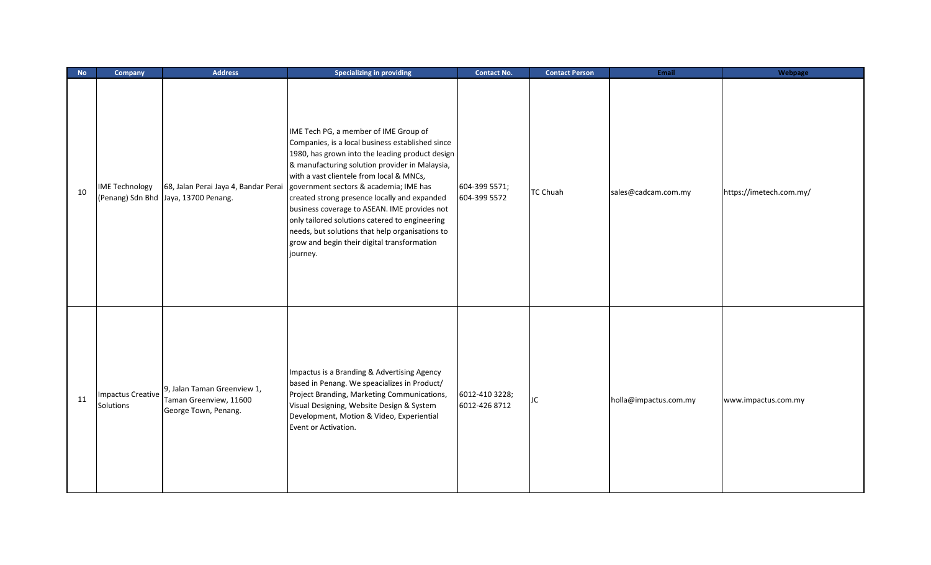| <b>No</b> | <b>Company</b>                        | <b>Address</b>                                                                | <b>Specializing in providing</b>                                                                                                                                                                                                                                                                                                                                                                                                                                                                                                                     | <b>Contact No.</b>              | <b>Contact Person</b> | Email                 | Webpage                 |
|-----------|---------------------------------------|-------------------------------------------------------------------------------|------------------------------------------------------------------------------------------------------------------------------------------------------------------------------------------------------------------------------------------------------------------------------------------------------------------------------------------------------------------------------------------------------------------------------------------------------------------------------------------------------------------------------------------------------|---------------------------------|-----------------------|-----------------------|-------------------------|
| 10        | <b>IME Technology</b>                 | 68, Jalan Perai Jaya 4, Bandar Perai<br>(Penang) Sdn Bhd Jaya, 13700 Penang.  | IME Tech PG, a member of IME Group of<br>Companies, is a local business established since<br>1980, has grown into the leading product design<br>& manufacturing solution provider in Malaysia,<br>with a vast clientele from local & MNCs,<br>government sectors & academia; IME has<br>created strong presence locally and expanded<br>business coverage to ASEAN. IME provides not<br>only tailored solutions catered to engineering<br>needs, but solutions that help organisations to<br>grow and begin their digital transformation<br>journey. | 604-399 5571;<br>604-399 5572   | <b>TC Chuah</b>       | sales@cadcam.com.my   | https://imetech.com.my/ |
| 11        | <b>Impactus Creative</b><br>Solutions | 9, Jalan Taman Greenview 1,<br>Taman Greenview, 11600<br>George Town, Penang. | Impactus is a Branding & Advertising Agency<br>based in Penang. We speacializes in Product/<br>Project Branding, Marketing Communications,<br>Visual Designing, Website Design & System<br>Development, Motion & Video, Experiential<br>Event or Activation.                                                                                                                                                                                                                                                                                         | 6012-410 3228;<br>6012-426 8712 | JC                    | holla@impactus.com.my | www.impactus.com.my     |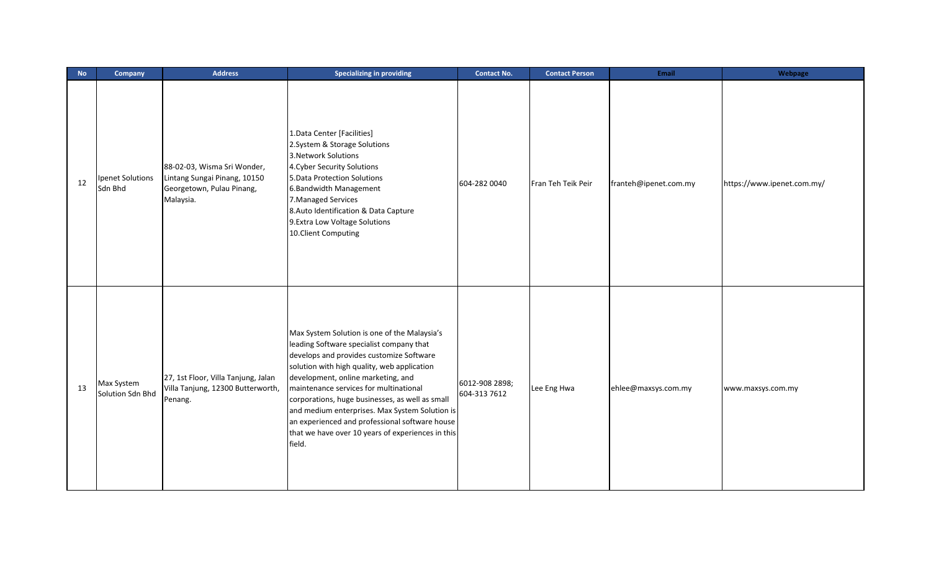| <b>No</b> | Company                        | <b>Address</b>                                                                                        | <b>Specializing in providing</b>                                                                                                                                                                                                                                                                                                                                                                                                                                                          | <b>Contact No.</b>             | <b>Contact Person</b> | Email                 | Webpage                    |
|-----------|--------------------------------|-------------------------------------------------------------------------------------------------------|-------------------------------------------------------------------------------------------------------------------------------------------------------------------------------------------------------------------------------------------------------------------------------------------------------------------------------------------------------------------------------------------------------------------------------------------------------------------------------------------|--------------------------------|-----------------------|-----------------------|----------------------------|
| 12        | Ipenet Solutions<br>Sdn Bhd    | 88-02-03, Wisma Sri Wonder,<br>Lintang Sungai Pinang, 10150<br>Georgetown, Pulau Pinang,<br>Malaysia. | 1. Data Center [Facilities]<br>2. System & Storage Solutions<br>3. Network Solutions<br>4. Cyber Security Solutions<br>5. Data Protection Solutions<br>6. Bandwidth Management<br>7. Managed Services<br>8. Auto Identification & Data Capture<br>9. Extra Low Voltage Solutions<br>10.Client Computing                                                                                                                                                                                   | 604-282 0040                   | Fran Teh Teik Peir    | franteh@ipenet.com.my | https://www.ipenet.com.my/ |
| 13        | Max System<br>Solution Sdn Bhd | 27, 1st Floor, Villa Tanjung, Jalan<br>Villa Tanjung, 12300 Butterworth,<br>Penang.                   | Max System Solution is one of the Malaysia's<br>leading Software specialist company that<br>develops and provides customize Software<br>solution with high quality, web application<br>development, online marketing, and<br>maintenance services for multinational<br>corporations, huge businesses, as well as small<br>and medium enterprises. Max System Solution is<br>an experienced and professional software house<br>that we have over 10 years of experiences in this<br>field. | 6012-908 2898;<br>604-313 7612 | Lee Eng Hwa           | ehlee@maxsys.com.my   | www.maxsys.com.my          |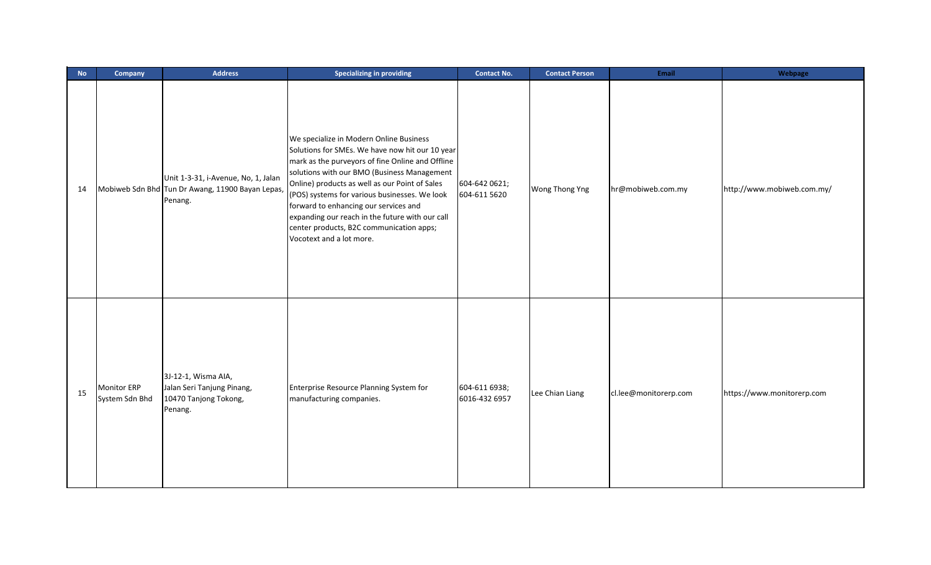| <b>No</b> | Company                       | <b>Address</b>                                                                                     | <b>Specializing in providing</b>                                                                                                                                                                                                                                                                                                                                                                                                                                     | <b>Contact No.</b>             | <b>Contact Person</b> | Email                 | Webpage                    |
|-----------|-------------------------------|----------------------------------------------------------------------------------------------------|----------------------------------------------------------------------------------------------------------------------------------------------------------------------------------------------------------------------------------------------------------------------------------------------------------------------------------------------------------------------------------------------------------------------------------------------------------------------|--------------------------------|-----------------------|-----------------------|----------------------------|
| 14        |                               | Unit 1-3-31, i-Avenue, No, 1, Jalan<br>Mobiweb Sdn Bhd Tun Dr Awang, 11900 Bayan Lepas,<br>Penang. | We specialize in Modern Online Business<br>Solutions for SMEs. We have now hit our 10 year<br>mark as the purveyors of fine Online and Offline<br>solutions with our BMO (Business Management<br>Online) products as well as our Point of Sales<br>(POS) systems for various businesses. We look<br>forward to enhancing our services and<br>expanding our reach in the future with our call<br>center products, B2C communication apps;<br>Vocotext and a lot more. | 604-642 0621;<br>604-611 5620  | Wong Thong Yng        | hr@mobiweb.com.my     | http://www.mobiweb.com.my/ |
| 15        | Monitor ERP<br>System Sdn Bhd | 3J-12-1, Wisma AIA,<br>Jalan Seri Tanjung Pinang,<br>10470 Tanjong Tokong,<br>Penang.              | Enterprise Resource Planning System for<br>manufacturing companies.                                                                                                                                                                                                                                                                                                                                                                                                  | 604-611 6938;<br>6016-432 6957 | Lee Chian Liang       | cl.lee@monitorerp.com | https://www.monitorerp.com |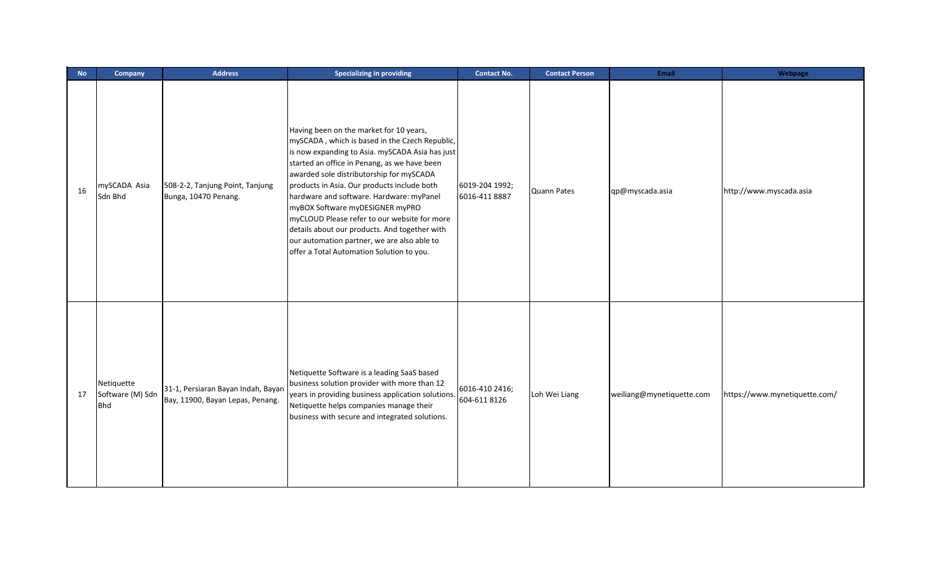| <b>No</b> | Company                                      | <b>Address</b>                                                         | <b>Specializing in providing</b>                                                                                                                                                                                                                                                                                                                                                                                                                                                                                                                                    | <b>Contact No.</b>              | <b>Contact Person</b> | <b>Email</b>              | Webpage                       |
|-----------|----------------------------------------------|------------------------------------------------------------------------|---------------------------------------------------------------------------------------------------------------------------------------------------------------------------------------------------------------------------------------------------------------------------------------------------------------------------------------------------------------------------------------------------------------------------------------------------------------------------------------------------------------------------------------------------------------------|---------------------------------|-----------------------|---------------------------|-------------------------------|
| 16        | mySCADA Asia<br>Sdn Bhd                      | 508-2-2, Tanjung Point, Tanjung<br>Bunga, 10470 Penang.                | Having been on the market for 10 years,<br>mySCADA, which is based in the Czech Republic,<br>is now expanding to Asia. mySCADA Asia has just<br>started an office in Penang, as we have been<br>awarded sole distributorship for mySCADA<br>products in Asia. Our products include both<br>hardware and software. Hardware: myPanel<br>myBOX Software myDESIGNER myPRO<br>myCLOUD Please refer to our website for more<br>details about our products. And together with<br>our automation partner, we are also able to<br>offer a Total Automation Solution to you. | 6019-204 1992;<br>6016-411 8887 | Quann Pates           | qp@myscada.asia           | http://www.myscada.asia       |
| 17        | Netiquette<br>Software (M) Sdn<br><b>Bhd</b> | 31-1, Persiaran Bayan Indah, Bayan<br>Bay, 11900, Bayan Lepas, Penang. | Netiquette Software is a leading SaaS based<br>business solution provider with more than 12<br>years in providing business application solutions.<br>Netiquette helps companies manage their<br>business with secure and integrated solutions.                                                                                                                                                                                                                                                                                                                      | 6016-410 2416;<br>604-611 8126  | Loh Wei Liang         | weiliang@mynetiquette.com | https://www.mynetiquette.com/ |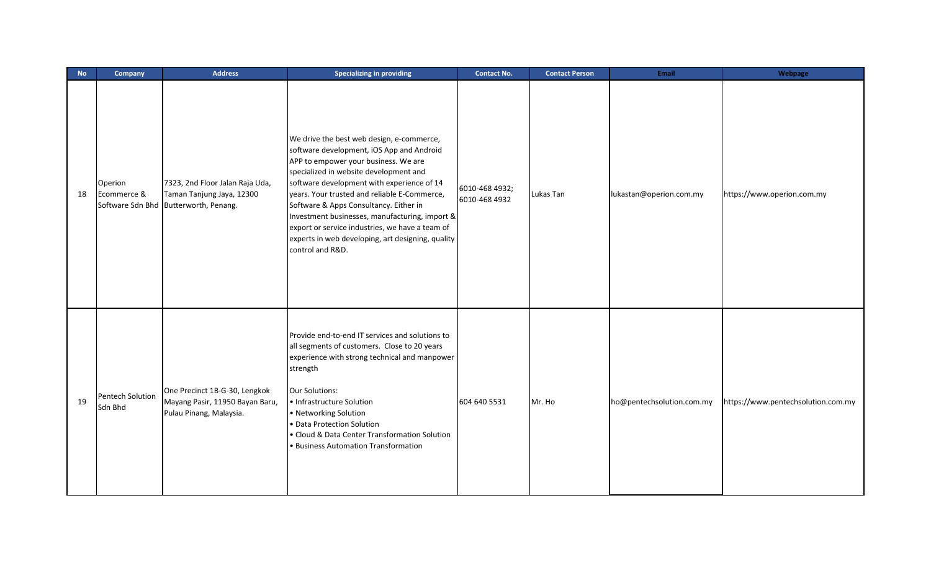| <b>No</b> | Company                            | <b>Address</b>                                                                                        | <b>Specializing in providing</b>                                                                                                                                                                                                                                                                                                                                                                                                                                                               | <b>Contact No.</b>              | <b>Contact Person</b> | <b>Email</b>              | Webpage                            |
|-----------|------------------------------------|-------------------------------------------------------------------------------------------------------|------------------------------------------------------------------------------------------------------------------------------------------------------------------------------------------------------------------------------------------------------------------------------------------------------------------------------------------------------------------------------------------------------------------------------------------------------------------------------------------------|---------------------------------|-----------------------|---------------------------|------------------------------------|
| 18        | Operion<br>Ecommerce &             | 7323, 2nd Floor Jalan Raja Uda,<br>Taman Tanjung Jaya, 12300<br>Software Sdn Bhd Butterworth, Penang. | We drive the best web design, e-commerce,<br>software development, iOS App and Android<br>APP to empower your business. We are<br>specialized in website development and<br>software development with experience of 14<br>years. Your trusted and reliable E-Commerce,<br>Software & Apps Consultancy. Either in<br>Investment businesses, manufacturing, import &<br>export or service industries, we have a team of<br>experts in web developing, art designing, quality<br>control and R&D. | 6010-468 4932;<br>6010-468 4932 | Lukas Tan             | lukastan@operion.com.my   | https://www.operion.com.my         |
| 19        | <b>Pentech Solution</b><br>Sdn Bhd | One Precinct 1B-G-30, Lengkok<br>Mayang Pasir, 11950 Bayan Baru,<br>Pulau Pinang, Malaysia.           | Provide end-to-end IT services and solutions to<br>all segments of customers. Close to 20 years<br>experience with strong technical and manpower<br>strength<br><b>Our Solutions:</b><br>• Infrastructure Solution<br>• Networking Solution<br>• Data Protection Solution<br>• Cloud & Data Center Transformation Solution<br>• Business Automation Transformation                                                                                                                             | 604 640 5531                    | Mr. Ho                | ho@pentechsolution.com.my | https://www.pentechsolution.com.my |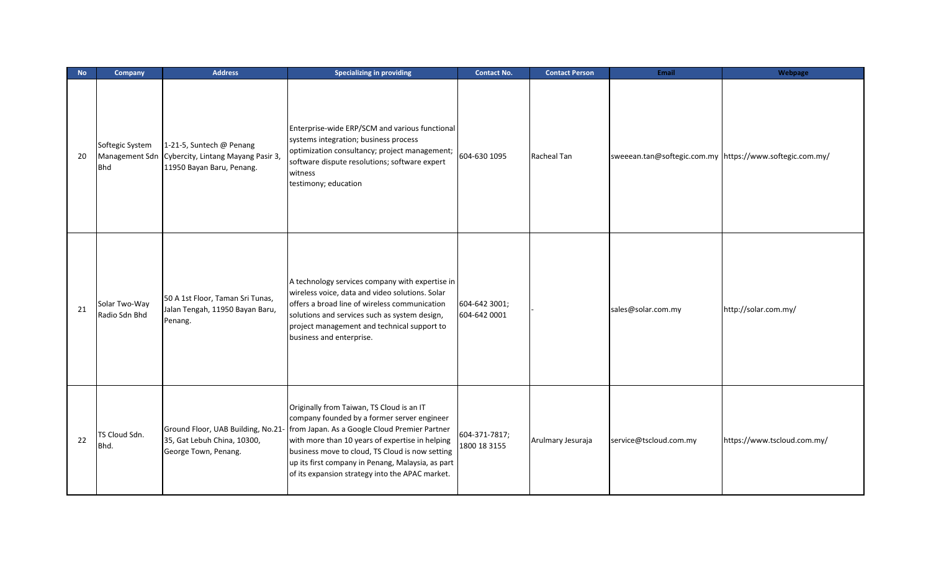| <b>No</b> | Company                        | <b>Address</b>                                                                                             | <b>Specializing in providing</b>                                                                                                                                                                                                                                                                                                                        | <b>Contact No.</b>            | <b>Contact Person</b> | <b>Email</b>                                             | Webpage                     |
|-----------|--------------------------------|------------------------------------------------------------------------------------------------------------|---------------------------------------------------------------------------------------------------------------------------------------------------------------------------------------------------------------------------------------------------------------------------------------------------------------------------------------------------------|-------------------------------|-----------------------|----------------------------------------------------------|-----------------------------|
| 20        | Softegic System<br><b>Bhd</b>  | 1-21-5, Suntech @ Penang<br>Management Sdn Cybercity, Lintang Mayang Pasir 3,<br>11950 Bayan Baru, Penang. | Enterprise-wide ERP/SCM and various functional<br>systems integration; business process<br>optimization consultancy; project management;<br>software dispute resolutions; software expert<br>witness<br>testimony; education                                                                                                                            | 604-630 1095                  | Racheal Tan           | sweeean.tan@softegic.com.my https://www.softegic.com.my/ |                             |
| 21        | Solar Two-Way<br>Radio Sdn Bhd | 50 A 1st Floor, Taman Sri Tunas,<br>Jalan Tengah, 11950 Bayan Baru,<br>Penang.                             | A technology services company with expertise in<br>wireless voice, data and video solutions. Solar<br>offers a broad line of wireless communication<br>solutions and services such as system design,<br>project management and technical support to<br>business and enterprise.                                                                         | 604-642 3001;<br>604-642 0001 |                       | sales@solar.com.my                                       | http://solar.com.my/        |
| 22        | TS Cloud Sdn.<br>Bhd.          | Ground Floor, UAB Building, No.21<br>35, Gat Lebuh China, 10300,<br>George Town, Penang.                   | Originally from Taiwan, TS Cloud is an IT<br>company founded by a former server engineer<br>from Japan. As a Google Cloud Premier Partner<br>with more than 10 years of expertise in helping<br>business move to cloud, TS Cloud is now setting<br>up its first company in Penang, Malaysia, as part<br>of its expansion strategy into the APAC market. | 604-371-7817;<br>1800 18 3155 | Arulmary Jesuraja     | service@tscloud.com.my                                   | https://www.tscloud.com.my/ |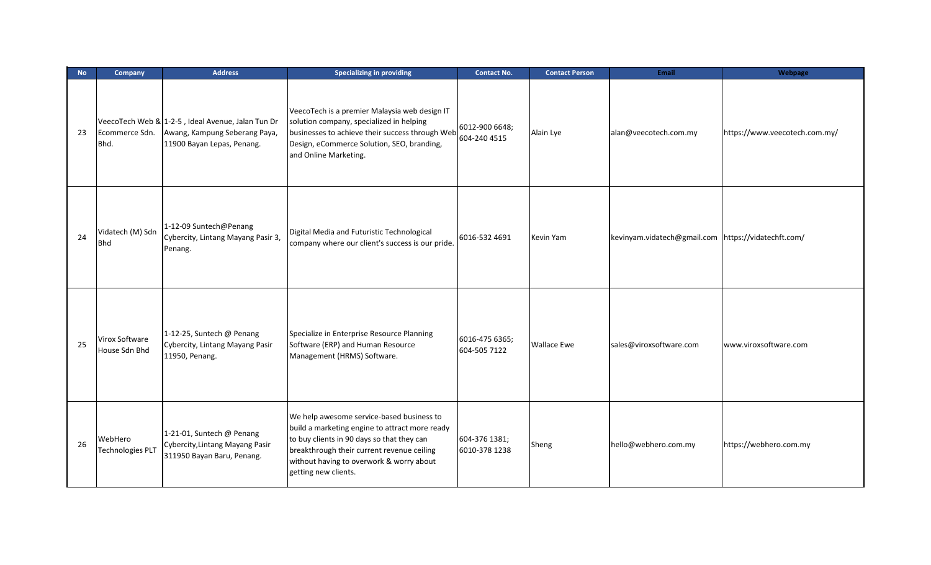| <b>No</b> | Company                            | <b>Address</b>                                                                                                   | <b>Specializing in providing</b>                                                                                                                                                                                                                            | <b>Contact No.</b>             | <b>Contact Person</b> | <b>Email</b>                                        | Webpage                       |
|-----------|------------------------------------|------------------------------------------------------------------------------------------------------------------|-------------------------------------------------------------------------------------------------------------------------------------------------------------------------------------------------------------------------------------------------------------|--------------------------------|-----------------------|-----------------------------------------------------|-------------------------------|
| 23        | Ecommerce Sdn.<br>Bhd.             | VeecoTech Web & 1-2-5, Ideal Avenue, Jalan Tun Dr<br>Awang, Kampung Seberang Paya,<br>11900 Bayan Lepas, Penang. | VeecoTech is a premier Malaysia web design IT<br>solution company, specialized in helping<br>businesses to achieve their success through Web<br>Design, eCommerce Solution, SEO, branding,<br>and Online Marketing.                                         | 6012-900 6648;<br>604-240 4515 | Alain Lye             | alan@veecotech.com.my                               | https://www.veecotech.com.my/ |
| 24        | Vidatech (M) Sdn<br><b>Bhd</b>     | 1-12-09 Suntech@Penang<br>Cybercity, Lintang Mayang Pasir 3,<br>Penang.                                          | Digital Media and Futuristic Technological<br>company where our client's success is our pride.                                                                                                                                                              | 6016-532 4691                  | Kevin Yam             | kevinyam.vidatech@gmail.com https://vidatechft.com/ |                               |
| 25        | Virox Software<br>House Sdn Bhd    | 1-12-25, Suntech @ Penang<br>Cybercity, Lintang Mayang Pasir<br>11950, Penang.                                   | Specialize in Enterprise Resource Planning<br>Software (ERP) and Human Resource<br>Management (HRMS) Software.                                                                                                                                              | 6016-475 6365;<br>604-505 7122 | <b>Wallace Ewe</b>    | sales@viroxsoftware.com                             | www.viroxsoftware.com         |
| 26        | WebHero<br><b>Technologies PLT</b> | 1-21-01, Suntech @ Penang<br>Cybercity, Lintang Mayang Pasir<br>311950 Bayan Baru, Penang.                       | We help awesome service-based business to<br>build a marketing engine to attract more ready<br>to buy clients in 90 days so that they can<br>breakthrough their current revenue ceiling<br>without having to overwork & worry about<br>getting new clients. | 604-376 1381;<br>6010-378 1238 | Sheng                 | hello@webhero.com.my                                | https://webhero.com.my        |